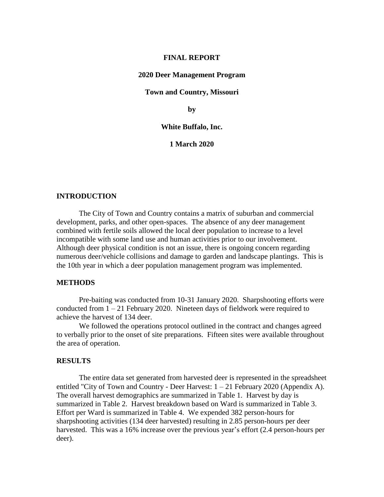#### **FINAL REPORT**

#### **2020 Deer Management Program**

#### **Town and Country, Missouri**

**by**

#### **White Buffalo, Inc.**

**1 March 2020**

#### **INTRODUCTION**

The City of Town and Country contains a matrix of suburban and commercial development, parks, and other open-spaces. The absence of any deer management combined with fertile soils allowed the local deer population to increase to a level incompatible with some land use and human activities prior to our involvement. Although deer physical condition is not an issue, there is ongoing concern regarding numerous deer/vehicle collisions and damage to garden and landscape plantings. This is the 10th year in which a deer population management program was implemented.

#### **METHODS**

Pre-baiting was conducted from 10-31 January 2020. Sharpshooting efforts were conducted from  $1 - 21$  February 2020. Nineteen days of fieldwork were required to achieve the harvest of 134 deer.

We followed the operations protocol outlined in the contract and changes agreed to verbally prior to the onset of site preparations. Fifteen sites were available throughout the area of operation.

#### **RESULTS**

The entire data set generated from harvested deer is represented in the spreadsheet entitled "City of Town and Country - Deer Harvest:  $1 - 21$  February 2020 (Appendix A). The overall harvest demographics are summarized in Table 1. Harvest by day is summarized in Table 2. Harvest breakdown based on Ward is summarized in Table 3. Effort per Ward is summarized in Table 4. We expended 382 person-hours for sharpshooting activities (134 deer harvested) resulting in 2.85 person-hours per deer harvested. This was a 16% increase over the previous year's effort (2.4 person-hours per deer).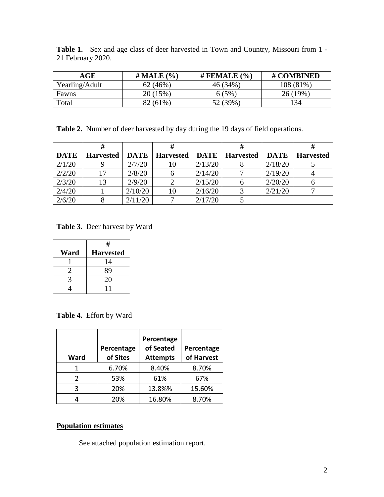| $\sim$            | $\mathbf{u}$ , $\mathbf{v}$ , $\mathbf{v}$ , $\mathbf{v}$ , $\mathbf{v}$ , $\mathbf{v}$ , $\mathbf{v}$ , $\mathbf{v}$ | $\mu$ mm $\sim$ $\mu$ m $\sim$ $\sim$ $\sim$ | $\mu$ $\alpha \alpha$ internal |
|-------------------|-----------------------------------------------------------------------------------------------------------------------|----------------------------------------------|--------------------------------|
| 21 February 2020. |                                                                                                                       |                                              |                                |
|                   |                                                                                                                       |                                              |                                |

**Table 1.** Sex and age class of deer harvested in Town and Country, Missouri from 1 -

| AGE            | # MALE $(\% )$ | # FEMALE $(\% )$ | # COMBINED |
|----------------|----------------|------------------|------------|
| Yearling/Adult | 62(46%)        | 46 (34%)         | 108 (81%)  |
| Fawns          | 20 (15%)       | $6(5\%)$         | $26(19\%)$ |
| Total          | 82 (61%)       | 52 (39%)         | 134        |

**Table 2.** Number of deer harvested by day during the 19 days of field operations.

| <b>DATE</b> | <b>Harvested</b> | <b>DATE</b> | <b>Harvested</b> |         | <b>DATE</b>   Harvested | <b>DATE</b> | <b>Harvested</b> |
|-------------|------------------|-------------|------------------|---------|-------------------------|-------------|------------------|
| 2/1/20      |                  | 2/7/20      | 10               | 2/13/20 |                         | 2/18/20     |                  |
| 2/2/20      | 17               | 2/8/20      |                  | 2/14/20 |                         | 2/19/20     |                  |
| 2/3/20      | 13               | 2/9/20      |                  | 2/15/20 |                         | 2/20/20     |                  |
| 2/4/20      |                  | 2/10/20     | 10               | 2/16/20 |                         | 2/21/20     |                  |
| 2/6/20      |                  | 2/11/20     |                  | 2/17/20 |                         |             |                  |

**Table 3.** Deer harvest by Ward

|          | #                |  |  |
|----------|------------------|--|--|
| Ward     | <b>Harvested</b> |  |  |
|          | 14               |  |  |
| $\gamma$ | 89               |  |  |
| 3        | 20               |  |  |
|          |                  |  |  |

**Table 4.** Effort by Ward

| Ward | Percentage<br>of Sites | Percentage<br>of Seated<br><b>Attempts</b> | Percentage<br>of Harvest |
|------|------------------------|--------------------------------------------|--------------------------|
|      | 6.70%                  | 8.40%                                      | 8.70%                    |
| っ    | 53%                    | 61%                                        | 67%                      |
| ς    | 20%                    | 13.8%%                                     | 15.60%                   |
|      | 20%                    | 16.80%                                     | 8.70%                    |

### **Population estimates**

See attached population estimation report.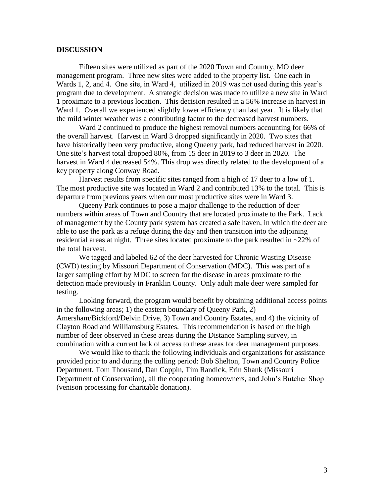#### **DISCUSSION**

Fifteen sites were utilized as part of the 2020 Town and Country, MO deer management program. Three new sites were added to the property list. One each in Wards 1, 2, and 4. One site, in Ward 4, utilized in 2019 was not used during this year's program due to development. A strategic decision was made to utilize a new site in Ward 1 proximate to a previous location. This decision resulted in a 56% increase in harvest in Ward 1. Overall we experienced slightly lower efficiency than last year. It is likely that the mild winter weather was a contributing factor to the decreased harvest numbers.

Ward 2 continued to produce the highest removal numbers accounting for 66% of the overall harvest. Harvest in Ward 3 dropped significantly in 2020. Two sites that have historically been very productive, along Queeny park, had reduced harvest in 2020. One site's harvest total dropped 80%, from 15 deer in 2019 to 3 deer in 2020. The harvest in Ward 4 decreased 54%. This drop was directly related to the development of a key property along Conway Road.

Harvest results from specific sites ranged from a high of 17 deer to a low of 1. The most productive site was located in Ward 2 and contributed 13% to the total. This is departure from previous years when our most productive sites were in Ward 3.

Queeny Park continues to pose a major challenge to the reduction of deer numbers within areas of Town and Country that are located proximate to the Park. Lack of management by the County park system has created a safe haven, in which the deer are able to use the park as a refuge during the day and then transition into the adjoining residential areas at night. Three sites located proximate to the park resulted in ~22% of the total harvest.

We tagged and labeled 62 of the deer harvested for Chronic Wasting Disease (CWD) testing by Missouri Department of Conservation (MDC). This was part of a larger sampling effort by MDC to screen for the disease in areas proximate to the detection made previously in Franklin County. Only adult male deer were sampled for testing.

Looking forward, the program would benefit by obtaining additional access points in the following areas; 1) the eastern boundary of Queeny Park, 2) Amersham/Bickford/Delvin Drive, 3) Town and Country Estates, and 4) the vicinity of Clayton Road and Williamsburg Estates. This recommendation is based on the high number of deer observed in these areas during the Distance Sampling survey, in combination with a current lack of access to these areas for deer management purposes.

We would like to thank the following individuals and organizations for assistance provided prior to and during the culling period: Bob Shelton, Town and Country Police Department, Tom Thousand, Dan Coppin, Tim Randick, Erin Shank (Missouri Department of Conservation), all the cooperating homeowners, and John's Butcher Shop (venison processing for charitable donation).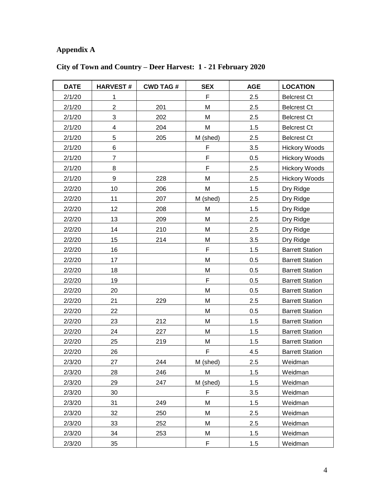# **Appendix A**

| <b>DATE</b> | <b>HARVEST#</b>         | <b>CWD TAG#</b> | <b>SEX</b> | <b>AGE</b> | <b>LOCATION</b>        |
|-------------|-------------------------|-----------------|------------|------------|------------------------|
| 2/1/20      | 1                       |                 | F          | 2.5        | <b>Belcrest Ct</b>     |
| 2/1/20      | $\overline{2}$          | 201             | M          | 2.5        | <b>Belcrest Ct</b>     |
| 2/1/20      | 3                       | 202             | M          | 2.5        | <b>Belcrest Ct</b>     |
| 2/1/20      | $\overline{\mathbf{4}}$ | 204             | M          | 1.5        | <b>Belcrest Ct</b>     |
| 2/1/20      | 5                       | 205             | M (shed)   | 2.5        | <b>Belcrest Ct</b>     |
| 2/1/20      | 6                       |                 | F          | 3.5        | <b>Hickory Woods</b>   |
| 2/1/20      | $\overline{7}$          |                 | F          | 0.5        | <b>Hickory Woods</b>   |
| 2/1/20      | 8                       |                 | F          | 2.5        | <b>Hickory Woods</b>   |
| 2/1/20      | $\boldsymbol{9}$        | 228             | M          | 2.5        | <b>Hickory Woods</b>   |
| 2/2/20      | 10                      | 206             | М          | 1.5        | Dry Ridge              |
| 2/2/20      | 11                      | 207             | M (shed)   | 2.5        | Dry Ridge              |
| 2/2/20      | 12                      | 208             | M          | 1.5        | Dry Ridge              |
| 2/2/20      | 13                      | 209             | М          | 2.5        | Dry Ridge              |
| 2/2/20      | 14                      | 210             | М          | 2.5        | Dry Ridge              |
| 2/2/20      | 15                      | 214             | М          | 3.5        | Dry Ridge              |
| 2/2/20      | 16                      |                 | F          | 1.5        | <b>Barrett Station</b> |
| 2/2/20      | 17                      |                 | M          | 0.5        | <b>Barrett Station</b> |
| 2/2/20      | 18                      |                 | M          | 0.5        | <b>Barrett Station</b> |
| 2/2/20      | 19                      |                 | F          | 0.5        | <b>Barrett Station</b> |
| 2/2/20      | 20                      |                 | M          | 0.5        | <b>Barrett Station</b> |
| 2/2/20      | 21                      | 229             | М          | 2.5        | <b>Barrett Station</b> |
| 2/2/20      | 22                      |                 | М          | 0.5        | <b>Barrett Station</b> |
| 2/2/20      | 23                      | 212             | M          | 1.5        | <b>Barrett Station</b> |
| 2/2/20      | 24                      | 227             | M          | 1.5        | <b>Barrett Station</b> |
| 2/2/20      | 25                      | 219             | М          | 1.5        | <b>Barrett Station</b> |
| 2/2/20      | 26                      |                 | F          | 4.5        | <b>Barrett Station</b> |
| 2/3/20      | 27                      | 244             | M (shed)   | 2.5        | Weidman                |
| 2/3/20      | 28                      | 246             | М          | 1.5        | Weidman                |
| 2/3/20      | 29                      | 247             | M (shed)   | 1.5        | Weidman                |
| 2/3/20      | 30                      |                 | F          | 3.5        | Weidman                |
| 2/3/20      | 31                      | 249             | М          | 1.5        | Weidman                |
| 2/3/20      | 32                      | 250             | Μ          | 2.5        | Weidman                |
| 2/3/20      | 33                      | 252             | M          | 2.5        | Weidman                |
| 2/3/20      | 34                      | 253             | М          | 1.5        | Weidman                |
| 2/3/20      | 35                      |                 | F          | 1.5        | Weidman                |

## **City of Town and Country – Deer Harvest: 1 - 21 February 2020**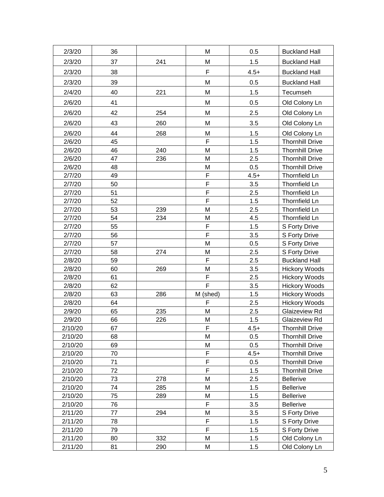| 2/3/20  | 36 |     | M              | 0.5    | <b>Buckland Hall</b>   |
|---------|----|-----|----------------|--------|------------------------|
| 2/3/20  | 37 | 241 | M              | 1.5    | <b>Buckland Hall</b>   |
| 2/3/20  | 38 |     | F              | $4.5+$ | <b>Buckland Hall</b>   |
| 2/3/20  | 39 |     | M              | 0.5    | <b>Buckland Hall</b>   |
| 2/4/20  | 40 | 221 | M              | 1.5    | Tecumseh               |
|         | 41 |     | M              | 0.5    |                        |
| 2/6/20  |    |     |                |        | Old Colony Ln          |
| 2/6/20  | 42 | 254 | M              | 2.5    | Old Colony Ln          |
| 2/6/20  | 43 | 260 | M              | 3.5    | Old Colony Ln          |
| 2/6/20  | 44 | 268 | M              | 1.5    | Old Colony Ln          |
| 2/6/20  | 45 |     | F              | 1.5    | <b>Thornhill Drive</b> |
| 2/6/20  | 46 | 240 | M              | 1.5    | <b>Thornhill Drive</b> |
| 2/6/20  | 47 | 236 | M              | 2.5    | <b>Thornhill Drive</b> |
| 2/6/20  | 48 |     | M              | 0.5    | <b>Thornhill Drive</b> |
| 2/7/20  | 49 |     | F              | $4.5+$ | Thornfield Ln          |
| 2/7/20  | 50 |     | F              | 3.5    | Thornfield Ln          |
| 2/7/20  | 51 |     | F              | 2.5    | <b>Thornfield Ln</b>   |
| 2/7/20  | 52 |     | F              | 1.5    | <b>Thornfield Ln</b>   |
| 2/7/20  | 53 | 239 | M              | 2.5    | Thornfield Ln          |
| 2/7/20  | 54 | 234 | M              | 4.5    | Thornfield Ln          |
| 2/7/20  | 55 |     | F              | 1.5    | S Forty Drive          |
| 2/7/20  | 56 |     | F              | 3.5    | S Forty Drive          |
| 2/7/20  | 57 |     | M              | 0.5    | S Forty Drive          |
| 2/7/20  | 58 | 274 | M              | 2.5    | S Forty Drive          |
| 2/8/20  | 59 |     | F              | 2.5    | <b>Buckland Hall</b>   |
| 2/8/20  | 60 | 269 | M              | 3.5    | <b>Hickory Woods</b>   |
| 2/8/20  | 61 |     | F              | 2.5    | <b>Hickory Woods</b>   |
| 2/8/20  | 62 |     | $\overline{F}$ | 3.5    | <b>Hickory Woods</b>   |
| 2/8/20  | 63 | 286 | M (shed)       | 1.5    | <b>Hickory Woods</b>   |
| 2/8/20  | 64 |     | F              | 2.5    | <b>Hickory Woods</b>   |
| 2/9/20  | 65 | 235 | M              | 2.5    | Glaizeview Rd          |
| 2/9/20  | 66 | 226 | M              | 1.5    | Glaizeview Rd          |
| 2/10/20 | 67 |     | F              | 4.5+   | Thornhill Drive        |
| 2/10/20 | 68 |     | M              | 0.5    | <b>Thornhill Drive</b> |
| 2/10/20 | 69 |     | M              | 0.5    | <b>Thornhill Drive</b> |
| 2/10/20 | 70 |     | F              | $4.5+$ | <b>Thornhill Drive</b> |
| 2/10/20 | 71 |     | F              | 0.5    | <b>Thornhill Drive</b> |
| 2/10/20 | 72 |     | F              | 1.5    | <b>Thornhill Drive</b> |
| 2/10/20 | 73 | 278 | M              | 2.5    | <b>Bellerive</b>       |
| 2/10/20 | 74 | 285 | M              | 1.5    | <b>Bellerive</b>       |
| 2/10/20 | 75 | 289 | М              | 1.5    | <b>Bellerive</b>       |
| 2/10/20 | 76 |     | F              | 3.5    | <b>Bellerive</b>       |
| 2/11/20 | 77 | 294 | M              | 3.5    | S Forty Drive          |
| 2/11/20 | 78 |     | F              | 1.5    | S Forty Drive          |
| 2/11/20 | 79 |     | F              | 1.5    | S Forty Drive          |
| 2/11/20 | 80 | 332 | M              | 1.5    | Old Colony Ln          |
| 2/11/20 | 81 | 290 | М              | 1.5    | Old Colony Ln          |
|         |    |     |                |        |                        |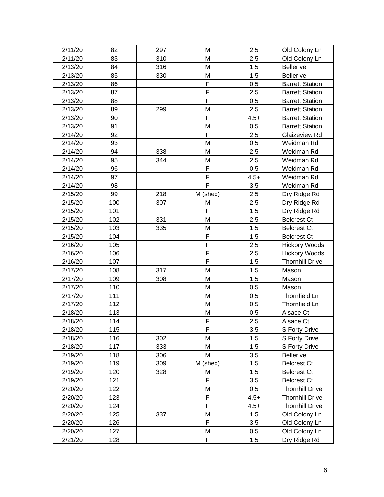| 2/11/20 | 82  | 297 | м        | 2.5    | Old Colony Ln          |
|---------|-----|-----|----------|--------|------------------------|
| 2/11/20 | 83  | 310 | M        | 2.5    | Old Colony Ln          |
| 2/13/20 | 84  | 316 | М        | 1.5    | <b>Bellerive</b>       |
| 2/13/20 | 85  | 330 | M        | 1.5    | <b>Bellerive</b>       |
| 2/13/20 | 86  |     | F        | 0.5    | <b>Barrett Station</b> |
| 2/13/20 | 87  |     | F        | 2.5    | <b>Barrett Station</b> |
| 2/13/20 | 88  |     | F        | 0.5    | <b>Barrett Station</b> |
| 2/13/20 | 89  | 299 | M        | 2.5    | <b>Barrett Station</b> |
| 2/13/20 | 90  |     | F        | $4.5+$ | <b>Barrett Station</b> |
| 2/13/20 | 91  |     | M        | 0.5    | <b>Barrett Station</b> |
| 2/14/20 | 92  |     | F        | 2.5    | Glaizeview Rd          |
| 2/14/20 | 93  |     | M        | 0.5    | Weidman Rd             |
| 2/14/20 | 94  | 338 | M        | 2.5    | Weidman Rd             |
| 2/14/20 | 95  | 344 | M        | 2.5    | Weidman Rd             |
| 2/14/20 | 96  |     | F        | 0.5    | Weidman Rd             |
| 2/14/20 | 97  |     | F        | $4.5+$ | Weidman Rd             |
| 2/14/20 | 98  |     | F        | 3.5    | Weidman Rd             |
| 2/15/20 | 99  | 218 | M (shed) | 2.5    | Dry Ridge Rd           |
| 2/15/20 | 100 | 307 | М        | 2.5    | Dry Ridge Rd           |
| 2/15/20 | 101 |     | F        | 1.5    | Dry Ridge Rd           |
| 2/15/20 | 102 | 331 | M        | 2.5    | <b>Belcrest Ct</b>     |
| 2/15/20 | 103 | 335 | M        | 1.5    | <b>Belcrest Ct</b>     |
| 2/15/20 | 104 |     | F        | 1.5    | <b>Belcrest Ct</b>     |
| 2/16/20 | 105 |     | F        | 2.5    | <b>Hickory Woods</b>   |
| 2/16/20 | 106 |     | F        | 2.5    | <b>Hickory Woods</b>   |
| 2/16/20 | 107 |     | F        | 1.5    | <b>Thornhill Drive</b> |
| 2/17/20 | 108 | 317 | M        | 1.5    | Mason                  |
| 2/17/20 | 109 | 308 | M        | 1.5    | Mason                  |
| 2/17/20 | 110 |     | M        | 0.5    | Mason                  |
| 2/17/20 | 111 |     | M        | 0.5    | Thornfield Ln          |
| 2/17/20 | 112 |     | M        | 0.5    | Thornfield Ln          |
| 2/18/20 | 113 |     | M        | 0.5    | Alsace Ct              |
| 2/18/20 | 114 |     | F        | 2.5    | Alsace Ct              |
| 2/18/20 | 115 |     | F        | 3.5    | S Forty Drive          |
| 2/18/20 | 116 | 302 | Μ        | 1.5    | S Forty Drive          |
| 2/18/20 | 117 | 333 | M        | 1.5    | S Forty Drive          |
| 2/19/20 | 118 | 306 | М        | 3.5    | <b>Bellerive</b>       |
| 2/19/20 | 119 | 309 | M (shed) | 1.5    | <b>Belcrest Ct</b>     |
| 2/19/20 | 120 | 328 | М        | 1.5    | <b>Belcrest Ct</b>     |
| 2/19/20 | 121 |     | F        | 3.5    | <b>Belcrest Ct</b>     |
| 2/20/20 | 122 |     | M        | 0.5    | <b>Thornhill Drive</b> |
| 2/20/20 | 123 |     | F        | $4.5+$ | <b>Thornhill Drive</b> |
| 2/20/20 | 124 |     | F        | $4.5+$ | <b>Thornhill Drive</b> |
| 2/20/20 | 125 | 337 | M        | 1.5    | Old Colony Ln          |
| 2/20/20 | 126 |     | F        | 3.5    | Old Colony Ln          |
| 2/20/20 | 127 |     | М        | 0.5    | Old Colony Ln          |
| 2/21/20 | 128 |     | F        | 1.5    | Dry Ridge Rd           |